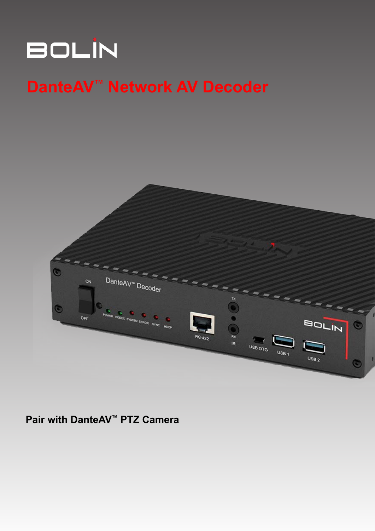# **BOLIN**

## **DanteAV™ Network AV Decoder**



## **Pair with DanteAV™ PTZ Camera**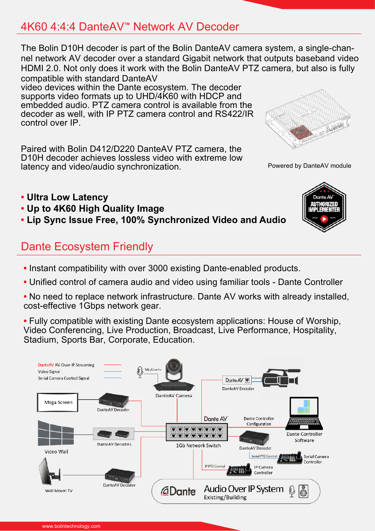## 4K60 4:4:4 DanteAV**™** Network AV Decoder

The Bolin D10H decoder is part of the Bolin DanteAV camera system, a single-channel network AV decoder over a standard Gigabit network that outputs baseband video HDMI 2.0. Not only does it work with the Bolin DanteAV PTZ camera, but also is fully compatible with standard DanteAV

video devices within the Dante ecosystem. The decoder supports video formats up to UHD/4K60 with HDCP and embedded audio. PTZ camera control is available from the decoder as well, with IP PTZ camera control and RS422/IR control over IP.

Paired with Bolin D412/D220 DanteAV PTZ camera, the D10H decoder achieves lossless video with extreme low latency and video/audio synchronization.

Powered by DanteAV module

Dante AV AIITHORIZEI

- **Ultra Low Latency**
- **Up to 4K60 High Quality Image**
- **Lip Sync Issue Free, 100% Synchronized Video and Audio**

## Dante Ecosystem Friendly

- **•** Instant compatibility with over 3000 existing Dante-enabled products.
- **•** Unified control of camera audio and video using familiar tools Dante Controller
- **•** No need to replace network infrastructure. Dante AV works with already installed, cost-effective 1Gbps network gear.
- **•** Fully compatible with existing Dante ecosystem applications: House of Worship, Video Conferencing, Live Production, Broadcast, Live Performance, Hospitality, Stadium, Sports Bar, Corporate, Education.

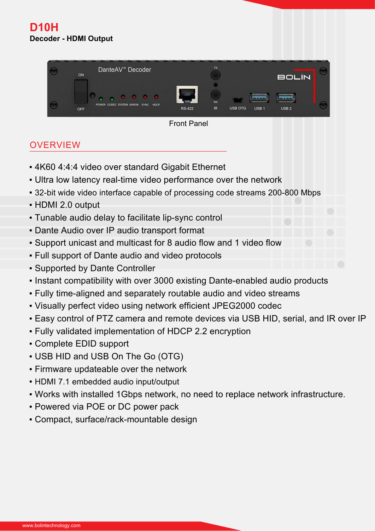### **D10H Decoder - HDMI Output**



Front Panel

## **OVERVIEW**

- 4K60 4:4:4 video over standard Gigabit Ethernet
- Ultra low latency real-time video performance over the network
- 32-bit wide video interface capable of processing code streams 200-800 Mbps
- HDMI 2.0 output
- Tunable audio delay to facilitate lip-sync control
- **.** Dante Audio over IP audio transport format
- Support unicast and multicast for 8 audio flow and 1 video flow
- Full support of Dante audio and video protocols
- Supported by Dante Controller
- Instant compatibility with over 3000 existing Dante-enabled audio products
- Fully time-aligned and separately routable audio and video streams
- Visually perfect video using network efficient JPEG2000 codec
- Easy control of PTZ camera and remote devices via USB HID, serial, and IR over IP
- Fully validated implementation of HDCP 2.2 encryption
- Complete EDID support
- USB HID and USB On The Go (OTG)
- Firmware updateable over the network
- HDMI 7.1 embedded audio input/output
- Works with installed 1Gbps network, no need to replace network infrastructure.
- Powered via POE or DC power pack
- Compact, surface/rack-mountable design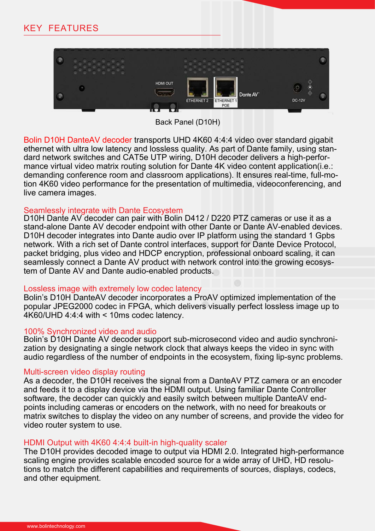

Back Panel (D10H)

Bolin D10H DanteAV decoder transports UHD 4K60 4:4:4 video over standard gigabit ethernet with ultra low latency and lossless quality. As part of Dante family, using standard network switches and CAT5e UTP wiring, D10H decoder delivers a high-performance virtual video matrix routing solution for Dante 4K video content application(i.e.: demanding conference room and classroom applications). It ensures real-time, full-motion 4K60 video performance for the presentation of multimedia, videoconferencing, and live camera images.

### Seamlessly integrate with Dante Ecosystem

D10H Dante AV decoder can pair with Bolin D412 / D220 PTZ cameras or use it as a stand-alone Dante AV decoder endpoint with other Dante or Dante AV-enabled devices. D10H decoder integrates into Dante audio over IP platform using the standard 1 Gpbs network. With a rich set of Dante control interfaces, support for Dante Device Protocol, packet bridging, plus video and HDCP encryption, professional onboard scaling, it can seamlessly connect a Dante AV product with network control into the growing ecosystem of Dante AV and Dante audio-enabled products.

### Lossless image with extremely low codec latency

Bolin's D10H DanteAV decoder incorporates a ProAV optimized implementation of the popular JPEG2000 codec in FPGA, which delivers visually perfect lossless image up to 4K60/UHD 4:4:4 with < 10ms codec latency.

### 100% Synchronized video and audio

Bolin's D10H Dante AV decoder support sub-microsecond video and audio synchronization by designating a single network clock that always keeps the video in sync with audio regardless of the number of endpoints in the ecosystem, fixing lip-sync problems.

### Multi-screen video display routing

As a decoder, the D10H receives the signal from a DanteAV PTZ camera or an encoder and feeds it to a display device via the HDMI output. Using familiar Dante Controller software, the decoder can quickly and easily switch between multiple DanteAV endpoints including cameras or encoders on the network, with no need for breakouts or matrix switches to display the video on any number of screens, and provide the video for video router system to use.

### HDMI Output with 4K60 4:4:4 built-in high-quality scaler

The D10H provides decoded image to output via HDMI 2.0. Integrated high-performance scaling engine provides scalable encoded source for a wide array of UHD, HD resolutions to match the different capabilities and requirements of sources, displays, codecs, and other equipment.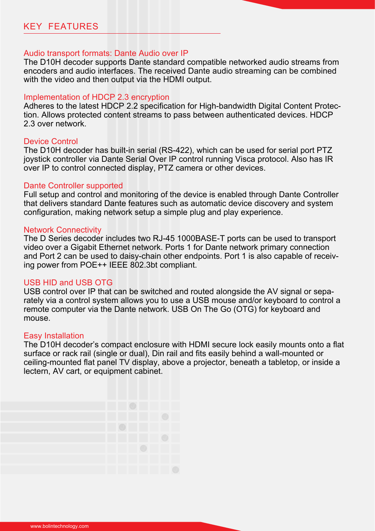#### Audio transport formats: Dante Audio over IP

The D10H decoder supports Dante standard compatible networked audio streams from encoders and audio interfaces. The received Dante audio streaming can be combined with the video and then output via the HDMI output.

#### Implementation of HDCP 2.3 encryption

Adheres to the latest HDCP 2.2 specification for High-bandwidth Digital Content Protection. Allows protected content streams to pass between authenticated devices. HDCP 2.3 over network.

#### Device Control

The D10H decoder has built-in serial (RS-422), which can be used for serial port PTZ joystick controller via Dante Serial Over IP control running Visca protocol. Also has IR over IP to control connected display, PTZ camera or other devices.

#### Dante Controller supported

Full setup and control and monitoring of the device is enabled through Dante Controller that delivers standard Dante features such as automatic device discovery and system configuration, making network setup a simple plug and play experience.

#### Network Connectivity

The D Series decoder includes two RJ-45 1000BASE-T ports can be used to transport video over a Gigabit Ethernet network. Ports 1 for Dante network primary connection and Port 2 can be used to daisy-chain other endpoints. Port 1 is also capable of receiving power from POE++ IEEE 802.3bt compliant.

#### USB HID and USB OTG

USB control over IP that can be switched and routed alongside the AV signal or separately via a control system allows you to use a USB mouse and/or keyboard to control a remote computer via the Dante network. USB On The Go (OTG) for keyboard and mouse.

#### Easy Installation

The D10H decoder's compact enclosure with HDMI secure lock easily mounts onto a flat surface or rack rail (single or dual), Din rail and fits easily behind a wall-mounted or ceiling-mounted flat panel TV display, above a projector, beneath a tabletop, or inside a lectern, AV cart, or equipment cabinet.

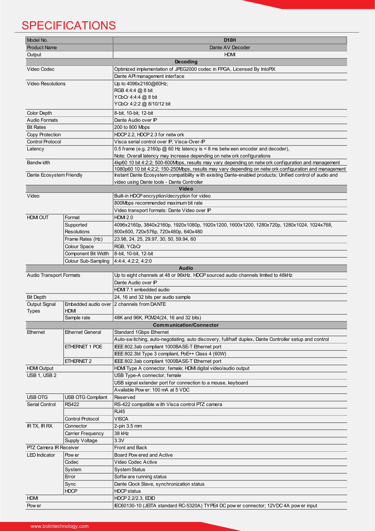## **SPECIFICATIONS**

| Model No.                      |                          | D <sub>10</sub> H                                                                                         |
|--------------------------------|--------------------------|-----------------------------------------------------------------------------------------------------------|
| <b>Product Name</b>            |                          | Dante AV Decoder                                                                                          |
| Output                         |                          | <b>HDMI</b>                                                                                               |
|                                |                          | <b>Decoding</b>                                                                                           |
| Video Codec                    |                          | Optimized implementation of JPEG2000 codec in FPGA, Licensed By IntoPIX                                   |
|                                |                          | Dante API management interface                                                                            |
| <b>Video Resolutions</b>       |                          | Up to 4096x2160@60Hz;                                                                                     |
|                                |                          | RGB 4:4:4 @ 8 bit                                                                                         |
|                                |                          | YCbCr 4:4:4 @ 8 bit                                                                                       |
|                                |                          | YCbCr 4:2:2 @ 8/10/12 bit                                                                                 |
|                                |                          |                                                                                                           |
| <b>Color Depth</b>             |                          | 8-bit, 10-bit, 12-bit                                                                                     |
| <b>Audio Formats</b>           |                          | Dante Audio over IP                                                                                       |
| <b>Bit Rates</b>               |                          | 200 to 800 Mbps                                                                                           |
| Copy Protection                |                          | HDCP 2.2, HDCP 2.3 for netw ork                                                                           |
| <b>Control Protocol</b>        |                          | Visca serial control over IP, Visca-Over-IP                                                               |
| Latency                        |                          | 0.5 frame (e.g. 2160p @ 60 Hz latency is < 8 ms betw een encoder and decoder),                            |
|                                |                          | Note: Overall latency may increase depending on netw ork configurations                                   |
| <b>Bandwidth</b>               |                          | 4kp60 10 bit 4:2:2; 500-600Mbps, results may vary depending on netw ork configuration and management      |
|                                |                          | 1080p60 10 bit 4:2:2; 150-250Mbps, results may vary depending on netw ork configuration and management    |
| Dante Ecosystem Friendly       |                          | Instant Dante Ecosystem compatibility w ith existing Dante-enabled products; Unified control of audio and |
|                                |                          | video using Dante tools - Dante Controller                                                                |
|                                |                          | Video                                                                                                     |
| Video                          |                          | Built-in HDCP encryption/decryption for video                                                             |
|                                |                          | 800Mbps recommended maximum bit rate                                                                      |
|                                |                          | Video transport formats: Dante Video over IP                                                              |
| <b>HDMI OUT</b>                | Format                   | <b>HDMI 2.0</b>                                                                                           |
|                                | Supported                | 4096x2160p, 3840x2160p, 1920x1080p, 1920x1200, 1600x1200, 1280x720p, 1280x1024, 1024x768,                 |
|                                | <b>Resolutions</b>       | 800x600, 720x576p, 720x480p, 640x480                                                                      |
|                                | Frame Rates (Hz)         | 23.98, 24, 25, 29.97, 30, 50, 59.94, 60                                                                   |
|                                | Colour Space             | RGB, YCbCr                                                                                                |
|                                | Component Bit Width      | 8-bit, 10-bit, 12-bit                                                                                     |
|                                |                          | 4:4:4, 4:2:2, 4:2:0                                                                                       |
|                                | Colour Sub-Sampling      |                                                                                                           |
|                                |                          | <b>Audio</b>                                                                                              |
| <b>Audio Transport Formats</b> |                          | Up to eight channels at 48 or 96kHz. HDCP sourced audio channels limited to 48kHz                         |
|                                |                          | Dante Audio over IP                                                                                       |
|                                |                          | HDMl 7.1 embedded audio                                                                                   |
| <b>Bit Depth</b>               |                          | 24, 16 and 32 bits per audio sample                                                                       |
| <b>Output Signal</b>           |                          | Embedded audio over 2 channels from DANTE                                                                 |
| <b>Types</b>                   | <b>HDMI</b>              |                                                                                                           |
|                                | Sample rate              | 48K and 96K, PCM24(24, 16 and 32 bits)                                                                    |
|                                |                          | <b>Communication/Connector</b>                                                                            |
| Ethernet                       | Ethernet General         | <b>Standard 1Gbps Ethernet</b>                                                                            |
|                                |                          | Auto-switching, auto-negotiating, auto discovery, full/half duplex, Dante Controller setup and control    |
|                                | ETHERNET 1 POE           | IEEE 802.3ab compliant 1000BASE-T Ethernet port                                                           |
|                                |                          | IEEE 802.3bt Type 3 compliant, PoE++ Class 4 (60W)                                                        |
|                                | ETHERNET 2               | IEEE 802.3ab compliant 1000BASE-T Ethernet port                                                           |
| <b>HDMI Output</b>             |                          | HDMI Type A connector, female; HDMI digital video/audio output                                            |
| USB 1, USB 2                   |                          | USB Type-A connector, female                                                                              |
|                                |                          | USB signal extender port for connection to a mouse, keyboard                                              |
|                                |                          | Available Pow er: 100 mA at 5 VDC                                                                         |
| <b>USB OTG</b>                 | <b>USB OTG Compliant</b> | Reserved                                                                                                  |
| Serial Control                 | <b>RS422</b>             | RS-422 compatible w ith Visca control PTZ camera                                                          |
|                                |                          | <b>RJ45</b>                                                                                               |
|                                |                          | <b>VISCA</b>                                                                                              |
|                                | <b>Control Protocol</b>  |                                                                                                           |
| IR TX, IR RX                   | Connector                | 2-pin 3.5 mm                                                                                              |
|                                | Carrier Frequency        | 38 kHz                                                                                                    |
|                                | <b>Supply Voltage</b>    | 3.3V                                                                                                      |
| PTZ Camera IR Receiver         |                          | Front and Back                                                                                            |
| <b>LED</b> Indicator           | Pow er                   | Board Pow ered and Active                                                                                 |
|                                | Codec                    | Video Codec Active                                                                                        |
|                                | System                   | <b>System Status</b>                                                                                      |
|                                | Error                    | Softw are running status                                                                                  |
|                                | Sync                     | Dante Clock Slave, synchronization status                                                                 |
|                                | <b>HDCP</b>              | <b>HDCP</b> status                                                                                        |
| <b>HDMI</b>                    |                          | <b>HDCP 2.2/2.3, EDID</b>                                                                                 |
| Pow er                         |                          | IEC60130-10 (JEITA standard RC-5320A) TYPE4 DC pow er connector; 12VDC 4A pow er input                    |
|                                |                          |                                                                                                           |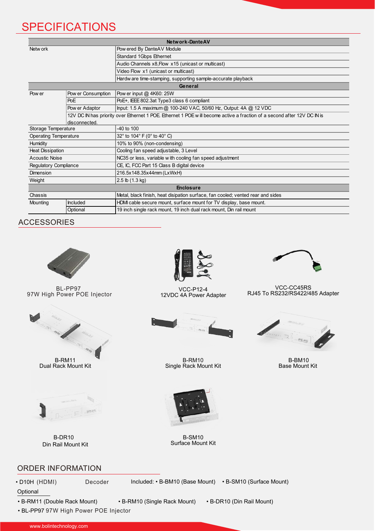## **SPECIFICATIONS**

| Network-Dante AV             |                                                                                                                         |                                                                                 |  |  |
|------------------------------|-------------------------------------------------------------------------------------------------------------------------|---------------------------------------------------------------------------------|--|--|
| Netw ork                     |                                                                                                                         | Pow ered By DanteAV Module                                                      |  |  |
|                              |                                                                                                                         | Standard 1Gbps Ethernet                                                         |  |  |
|                              |                                                                                                                         | Audio Channels x8, Flow x15 (unicast or multicast)                              |  |  |
|                              |                                                                                                                         | Video Flow x1 (unicast or multicast)                                            |  |  |
|                              |                                                                                                                         | Hardw are time-stamping, supporting sample-accurate playback                    |  |  |
| General                      |                                                                                                                         |                                                                                 |  |  |
| Pow er                       | Pow er Consumption                                                                                                      | Pow er input @ 4K60: 25W                                                        |  |  |
|                              | PoE                                                                                                                     | PoE+, IEEE 802.3at Type3 class 6 compliant                                      |  |  |
|                              | Pow er Adaptor                                                                                                          | Input: 1.5 A maximum @ 100-240 VAC, 50/60 Hz, Output: 4A @ 12 VDC               |  |  |
|                              | 12V DC IN has priority over Ethernet 1 POE. Ethernet 1 POE will become active a fraction of a second after 12V DC IN is |                                                                                 |  |  |
|                              | disconnected.                                                                                                           |                                                                                 |  |  |
| Storage Temperature          |                                                                                                                         | $-40$ to $100$                                                                  |  |  |
| <b>Operating Temperature</b> |                                                                                                                         | 32° to 104° F (0° to 40° C)                                                     |  |  |
| Humidity                     |                                                                                                                         | 10% to 90% (non-condensing)                                                     |  |  |
| <b>Heat Dissipation</b>      |                                                                                                                         | Cooling fan speed adjustable, 3 Level                                           |  |  |
| <b>Acoustic Noise</b>        |                                                                                                                         | NC35 or less, variable with cooling fan speed adjustment                        |  |  |
| Regulatory Compliance        |                                                                                                                         | CE, IC, FCC Part 15 Class B digital device                                      |  |  |
| <b>Dimension</b>             |                                                                                                                         | 216.5x148.35x44mm (LxWxH)                                                       |  |  |
| Weight                       |                                                                                                                         | $2.5$ lb $(1.3$ kg)                                                             |  |  |
| <b>Enclosure</b>             |                                                                                                                         |                                                                                 |  |  |
| Chassis                      |                                                                                                                         | Metal, black finish, heat disipation surface, fan cooled; vented rear and sides |  |  |
| Mounting                     | <b>Included</b>                                                                                                         | HDMI cable secure mount, surface mount for TV display, base mount.              |  |  |
|                              | Optional                                                                                                                | 19 inch single rack mount, 19 inch dual rack mount, Din rail mount              |  |  |

ACCESSORIES



BL-PP97 97W High Power POE Injector



Dual Rack Mount Kit



B-DR10 Din Rail Mount Kit



VCC-P12-4 12VDC 4A Power Adapter



B-RM10 Single Rack Mount Kit



VCC-CC45RS RJ45 To RS232/RS422/485 Adapter



B-BM10 Base Mount Kit



B-SM10 Surface Mount Kit

### ORDER INFORMATION

• D10H (HDMI) Decoder Included: • B-BM10 (Base Mount) • B-SM10 (Surface Mount)

**Optional** 

• B-RM11 (Double Rack Mount) • B-RM10 (Single Rack Mount) • B-DR10 (Din Rail Mount)

• BL-PP97 97W High Power POE Injector

www.bolintechnology.com